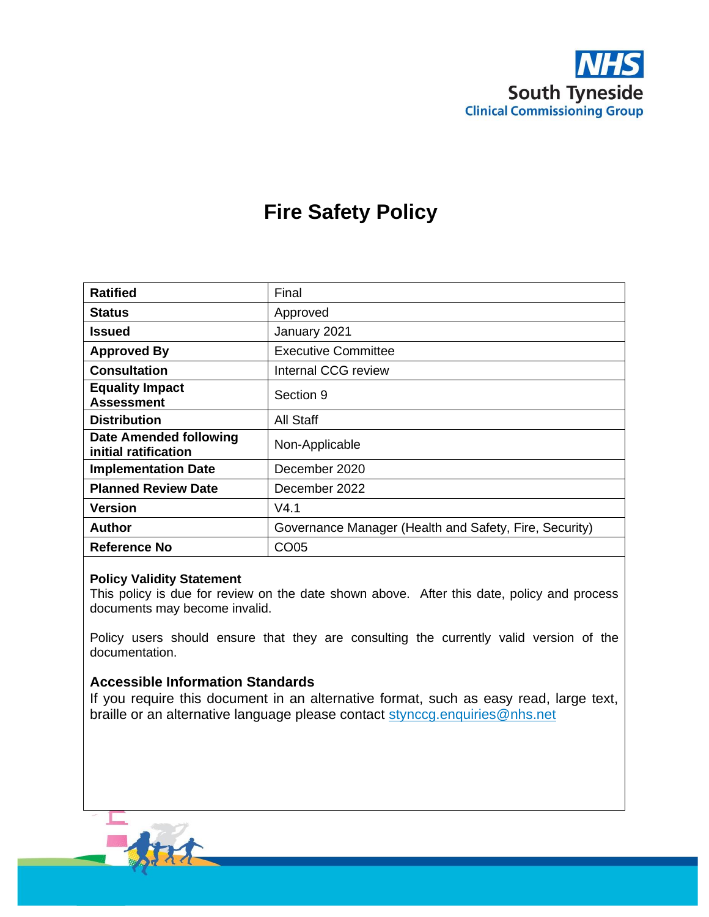

# **Fire Safety Policy**

| <b>Ratified</b>                                       | Final                                                  |
|-------------------------------------------------------|--------------------------------------------------------|
| <b>Status</b>                                         | Approved                                               |
| <b>Issued</b>                                         | January 2021                                           |
| <b>Approved By</b>                                    | <b>Executive Committee</b>                             |
| <b>Consultation</b>                                   | <b>Internal CCG review</b>                             |
| <b>Equality Impact</b><br><b>Assessment</b>           | Section 9                                              |
| <b>Distribution</b>                                   | All Staff                                              |
| <b>Date Amended following</b><br>initial ratification | Non-Applicable                                         |
| <b>Implementation Date</b>                            | December 2020                                          |
| <b>Planned Review Date</b>                            | December 2022                                          |
| Version                                               | V4.1                                                   |
| Author                                                | Governance Manager (Health and Safety, Fire, Security) |
| Reference No                                          | CO05                                                   |

#### **Policy Validity Statement**

This policy is due for review on the date shown above. After this date, policy and process documents may become invalid.

Policy users should ensure that they are consulting the currently valid version of the documentation.

#### **Accessible Information Standards**

If you require this document in an alternative format, such as easy read, large text, braille or an alternative language please contact [stynccg.enquiries@nhs.net](mailto:stynccg.enquiries@nhs.net)

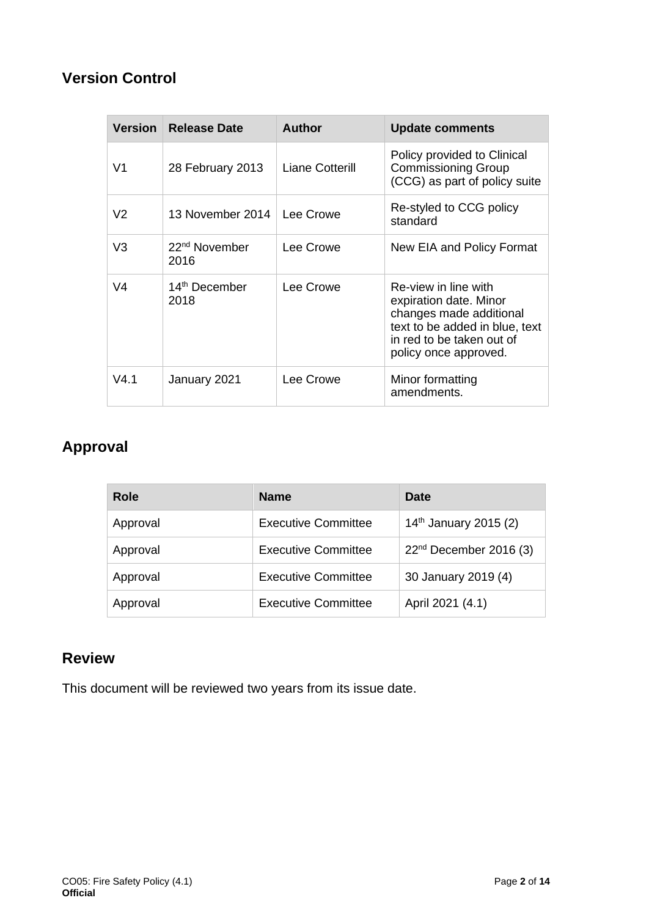# **Version Control**

| <b>Version</b> | <b>Release Date</b>               | <b>Author</b>   | <b>Update comments</b>                                                                                                                                            |
|----------------|-----------------------------------|-----------------|-------------------------------------------------------------------------------------------------------------------------------------------------------------------|
| V <sub>1</sub> | 28 February 2013                  | Liane Cotterill | Policy provided to Clinical<br><b>Commissioning Group</b><br>(CCG) as part of policy suite                                                                        |
| V <sub>2</sub> | 13 November 2014                  | Lee Crowe       | Re-styled to CCG policy<br>standard                                                                                                                               |
| V3             | 22 <sup>nd</sup> November<br>2016 | Lee Crowe       | New EIA and Policy Format                                                                                                                                         |
| V <sub>4</sub> | 14 <sup>th</sup> December<br>2018 | Lee Crowe       | Re-view in line with<br>expiration date. Minor<br>changes made additional<br>text to be added in blue, text<br>in red to be taken out of<br>policy once approved. |
| V4.1           | January 2021                      | Lee Crowe       | Minor formatting<br>amendments.                                                                                                                                   |

# **Approval**

| Role     | <b>Name</b>                | Date                              |
|----------|----------------------------|-----------------------------------|
| Approval | <b>Executive Committee</b> | 14 <sup>th</sup> January 2015 (2) |
| Approval | <b>Executive Committee</b> | $22nd$ December 2016 (3)          |
| Approval | <b>Executive Committee</b> | 30 January 2019 (4)               |
| Approval | <b>Executive Committee</b> | April 2021 (4.1)                  |

# **Review**

This document will be reviewed two years from its issue date.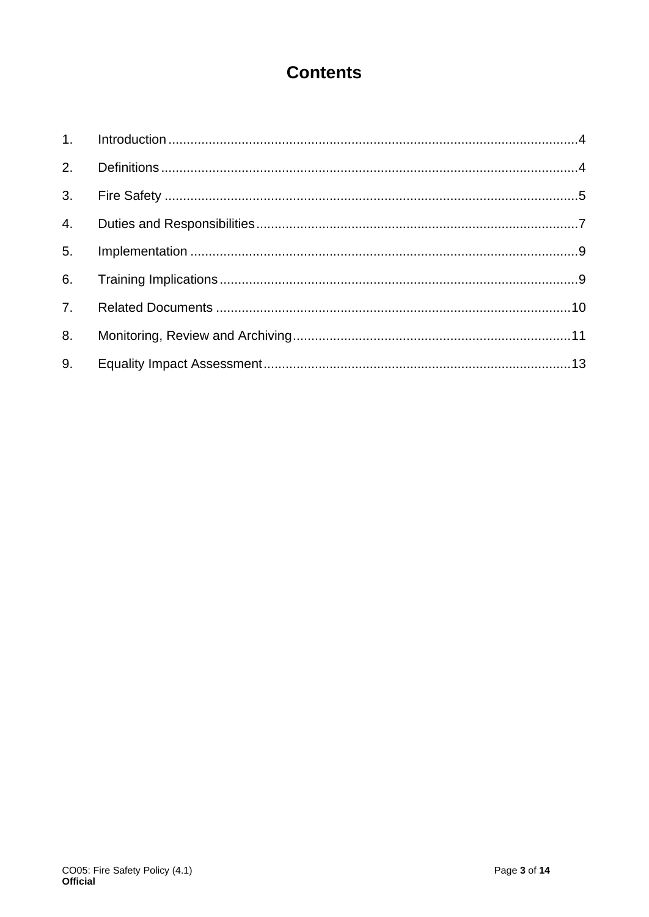# **Contents**

| 3. |  |
|----|--|
| 4. |  |
| 5. |  |
| 6. |  |
|    |  |
| 8. |  |
| 9. |  |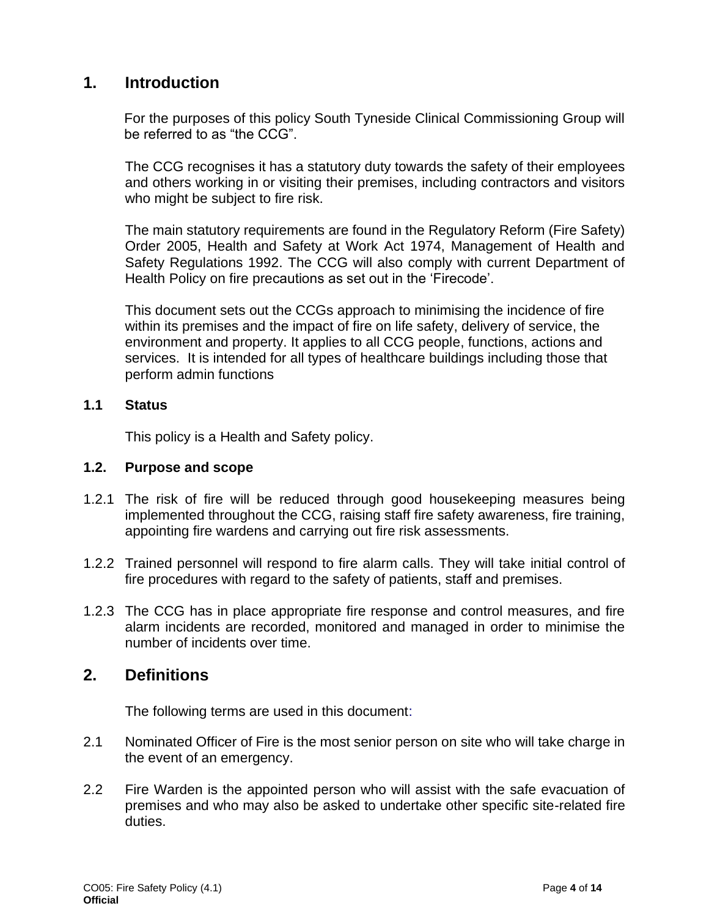# **1. Introduction**

<span id="page-3-0"></span>For the purposes of this policy South Tyneside Clinical Commissioning Group will be referred to as "the CCG".

The CCG recognises it has a statutory duty towards the safety of their employees and others working in or visiting their premises, including contractors and visitors who might be subject to fire risk.

The main statutory requirements are found in the Regulatory Reform (Fire Safety) Order 2005, Health and Safety at Work Act 1974, Management of Health and Safety Regulations 1992. The CCG will also comply with current Department of Health Policy on fire precautions as set out in the 'Firecode'.

This document sets out the CCGs approach to minimising the incidence of fire within its premises and the impact of fire on life safety, delivery of service, the environment and property. It applies to all CCG people, functions, actions and services. It is intended for all types of healthcare buildings including those that perform admin functions

## **1.1 Status**

This policy is a Health and Safety policy.

## **1.2. Purpose and scope**

- 1.2.1 The risk of fire will be reduced through good housekeeping measures being implemented throughout the CCG, raising staff fire safety awareness, fire training, appointing fire wardens and carrying out fire risk assessments.
- 1.2.2 Trained personnel will respond to fire alarm calls. They will take initial control of fire procedures with regard to the safety of patients, staff and premises.
- 1.2.3 The CCG has in place appropriate fire response and control measures, and fire alarm incidents are recorded, monitored and managed in order to minimise the number of incidents over time.

## **2. Definitions**

The following terms are used in this document:

- <span id="page-3-1"></span>2.1 Nominated Officer of Fire is the most senior person on site who will take charge in the event of an emergency.
- 2.2 Fire Warden is the appointed person who will assist with the safe evacuation of premises and who may also be asked to undertake other specific site-related fire duties.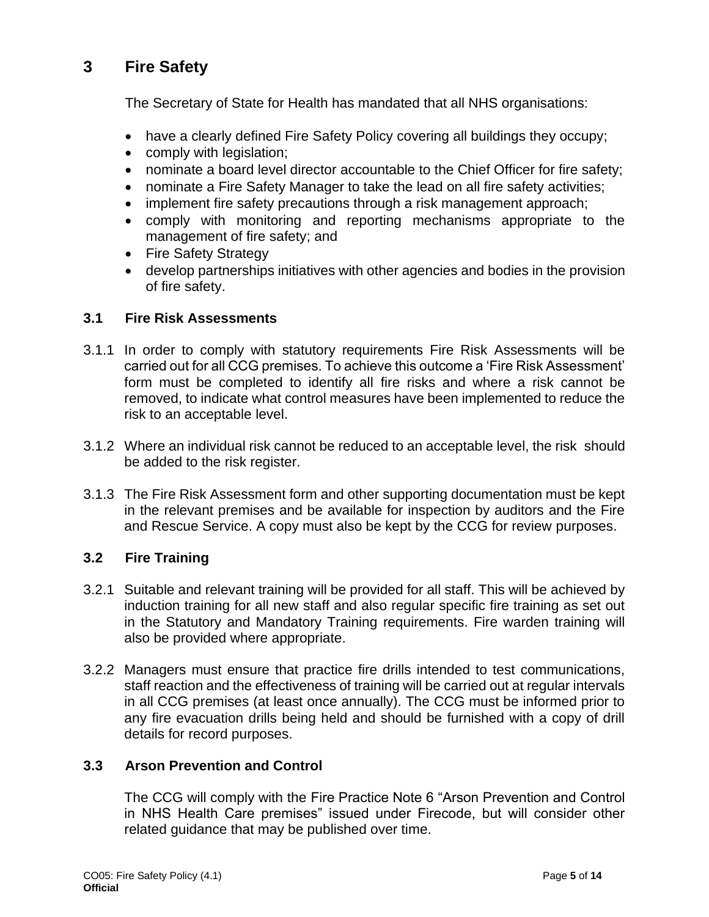# **3 Fire Safety**

The Secretary of State for Health has mandated that all NHS organisations:

- <span id="page-4-0"></span>• have a clearly defined Fire Safety Policy covering all buildings they occupy;
- comply with legislation;
- nominate a board level director accountable to the Chief Officer for fire safety;
- nominate a Fire Safety Manager to take the lead on all fire safety activities;
- implement fire safety precautions through a risk management approach;
- comply with monitoring and reporting mechanisms appropriate to the management of fire safety; and
- Fire Safety Strategy
- develop partnerships initiatives with other agencies and bodies in the provision of fire safety.

## **3.1 Fire Risk Assessments**

- 3.1.1 In order to comply with statutory requirements Fire Risk Assessments will be carried out for all CCG premises. To achieve this outcome a 'Fire Risk Assessment' form must be completed to identify all fire risks and where a risk cannot be removed, to indicate what control measures have been implemented to reduce the risk to an acceptable level.
- 3.1.2 Where an individual risk cannot be reduced to an acceptable level, the risk should be added to the risk register.
- 3.1.3 The Fire Risk Assessment form and other supporting documentation must be kept in the relevant premises and be available for inspection by auditors and the Fire and Rescue Service. A copy must also be kept by the CCG for review purposes.

## **3.2 Fire Training**

- 3.2.1 Suitable and relevant training will be provided for all staff. This will be achieved by induction training for all new staff and also regular specific fire training as set out in the Statutory and Mandatory Training requirements. Fire warden training will also be provided where appropriate.
- 3.2.2 Managers must ensure that practice fire drills intended to test communications, staff reaction and the effectiveness of training will be carried out at regular intervals in all CCG premises (at least once annually). The CCG must be informed prior to any fire evacuation drills being held and should be furnished with a copy of drill details for record purposes.

## **3.3 Arson Prevention and Control**

The CCG will comply with the Fire Practice Note 6 "Arson Prevention and Control in NHS Health Care premises" issued under Firecode, but will consider other related guidance that may be published over time.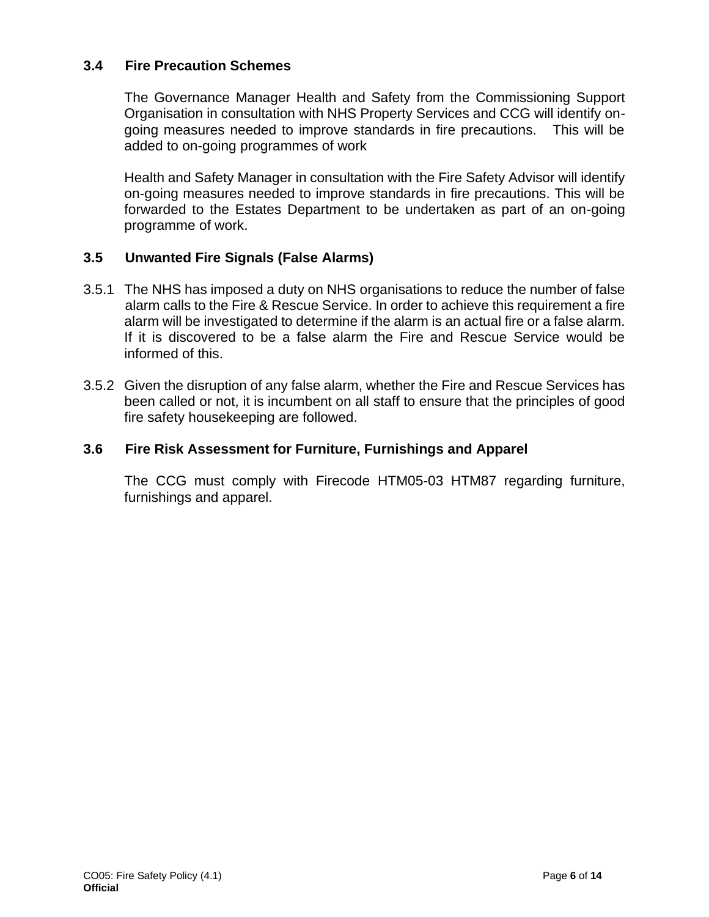## **3.4 Fire Precaution Schemes**

The Governance Manager Health and Safety from the Commissioning Support Organisation in consultation with NHS Property Services and CCG will identify ongoing measures needed to improve standards in fire precautions. This will be added to on-going programmes of work

Health and Safety Manager in consultation with the Fire Safety Advisor will identify on-going measures needed to improve standards in fire precautions. This will be forwarded to the Estates Department to be undertaken as part of an on-going programme of work.

## **3.5 Unwanted Fire Signals (False Alarms)**

- 3.5.1 The NHS has imposed a duty on NHS organisations to reduce the number of false alarm calls to the Fire & Rescue Service. In order to achieve this requirement a fire alarm will be investigated to determine if the alarm is an actual fire or a false alarm. If it is discovered to be a false alarm the Fire and Rescue Service would be informed of this.
- 3.5.2 Given the disruption of any false alarm, whether the Fire and Rescue Services has been called or not, it is incumbent on all staff to ensure that the principles of good fire safety housekeeping are followed.

## **3.6 Fire Risk Assessment for Furniture, Furnishings and Apparel**

The CCG must comply with Firecode HTM05-03 HTM87 regarding furniture, furnishings and apparel.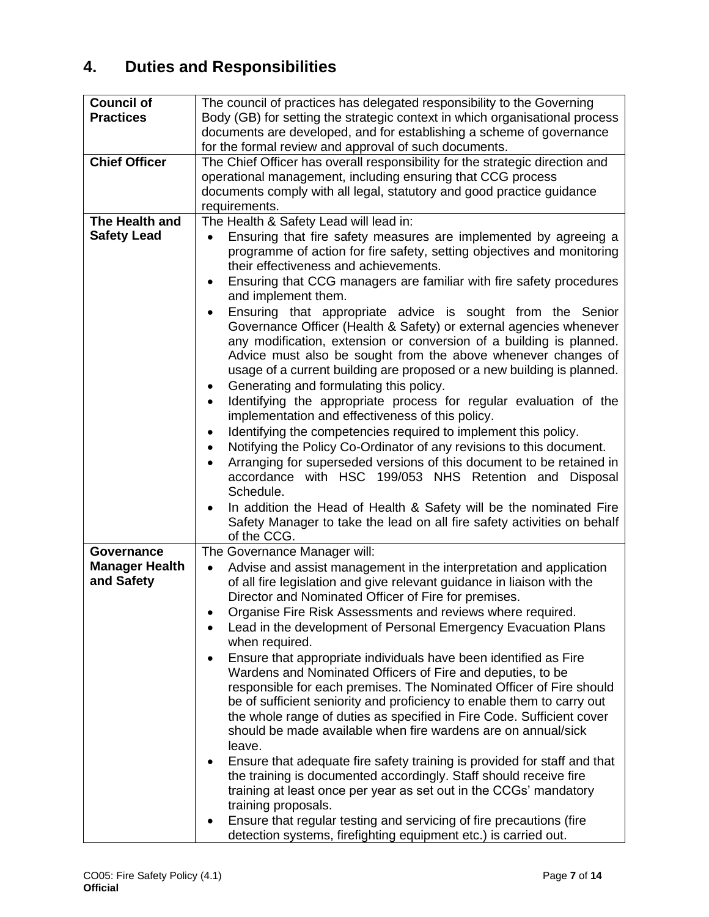# **4. Duties and Responsibilities**

<span id="page-6-0"></span>

| <b>Council of</b>                   | The council of practices has delegated responsibility to the Governing                                                                                                                                                                                                                                                                                                                                          |
|-------------------------------------|-----------------------------------------------------------------------------------------------------------------------------------------------------------------------------------------------------------------------------------------------------------------------------------------------------------------------------------------------------------------------------------------------------------------|
| <b>Practices</b>                    | Body (GB) for setting the strategic context in which organisational process                                                                                                                                                                                                                                                                                                                                     |
|                                     | documents are developed, and for establishing a scheme of governance                                                                                                                                                                                                                                                                                                                                            |
|                                     | for the formal review and approval of such documents.                                                                                                                                                                                                                                                                                                                                                           |
| <b>Chief Officer</b>                | The Chief Officer has overall responsibility for the strategic direction and                                                                                                                                                                                                                                                                                                                                    |
|                                     | operational management, including ensuring that CCG process                                                                                                                                                                                                                                                                                                                                                     |
|                                     | documents comply with all legal, statutory and good practice guidance                                                                                                                                                                                                                                                                                                                                           |
| The Health and                      | requirements.                                                                                                                                                                                                                                                                                                                                                                                                   |
|                                     | The Health & Safety Lead will lead in:                                                                                                                                                                                                                                                                                                                                                                          |
| <b>Safety Lead</b>                  | Ensuring that fire safety measures are implemented by agreeing a<br>$\bullet$<br>programme of action for fire safety, setting objectives and monitoring<br>their effectiveness and achievements.                                                                                                                                                                                                                |
|                                     | Ensuring that CCG managers are familiar with fire safety procedures<br>$\bullet$<br>and implement them.                                                                                                                                                                                                                                                                                                         |
|                                     | Ensuring that appropriate advice is sought from the Senior<br>$\bullet$<br>Governance Officer (Health & Safety) or external agencies whenever<br>any modification, extension or conversion of a building is planned.<br>Advice must also be sought from the above whenever changes of<br>usage of a current building are proposed or a new building is planned.<br>Generating and formulating this policy.<br>٠ |
|                                     | Identifying the appropriate process for regular evaluation of the<br>$\bullet$<br>implementation and effectiveness of this policy.                                                                                                                                                                                                                                                                              |
|                                     | Identifying the competencies required to implement this policy.<br>٠                                                                                                                                                                                                                                                                                                                                            |
|                                     | Notifying the Policy Co-Ordinator of any revisions to this document.<br>$\bullet$                                                                                                                                                                                                                                                                                                                               |
|                                     | Arranging for superseded versions of this document to be retained in                                                                                                                                                                                                                                                                                                                                            |
|                                     | accordance with HSC 199/053 NHS Retention and Disposal                                                                                                                                                                                                                                                                                                                                                          |
|                                     | Schedule.                                                                                                                                                                                                                                                                                                                                                                                                       |
|                                     | In addition the Head of Health & Safety will be the nominated Fire<br>Safety Manager to take the lead on all fire safety activities on behalf<br>of the CCG.                                                                                                                                                                                                                                                    |
| Governance                          | The Governance Manager will:                                                                                                                                                                                                                                                                                                                                                                                    |
| <b>Manager Health</b><br>and Safety | Advise and assist management in the interpretation and application<br>$\bullet$<br>of all fire legislation and give relevant guidance in liaison with the<br>Director and Nominated Officer of Fire for premises.<br>Organise Fire Risk Assessments and reviews where required.                                                                                                                                 |
|                                     | Lead in the development of Personal Emergency Evacuation Plans<br>when required.                                                                                                                                                                                                                                                                                                                                |
|                                     | Ensure that appropriate individuals have been identified as Fire<br>$\bullet$<br>Wardens and Nominated Officers of Fire and deputies, to be                                                                                                                                                                                                                                                                     |
|                                     | responsible for each premises. The Nominated Officer of Fire should<br>be of sufficient seniority and proficiency to enable them to carry out                                                                                                                                                                                                                                                                   |
|                                     | the whole range of duties as specified in Fire Code. Sufficient cover<br>should be made available when fire wardens are on annual/sick                                                                                                                                                                                                                                                                          |
|                                     | leave.<br>Ensure that adequate fire safety training is provided for staff and that                                                                                                                                                                                                                                                                                                                              |
|                                     | the training is documented accordingly. Staff should receive fire                                                                                                                                                                                                                                                                                                                                               |
|                                     | training at least once per year as set out in the CCGs' mandatory                                                                                                                                                                                                                                                                                                                                               |
|                                     | training proposals.                                                                                                                                                                                                                                                                                                                                                                                             |
|                                     | Ensure that regular testing and servicing of fire precautions (fire<br>detection systems, firefighting equipment etc.) is carried out.                                                                                                                                                                                                                                                                          |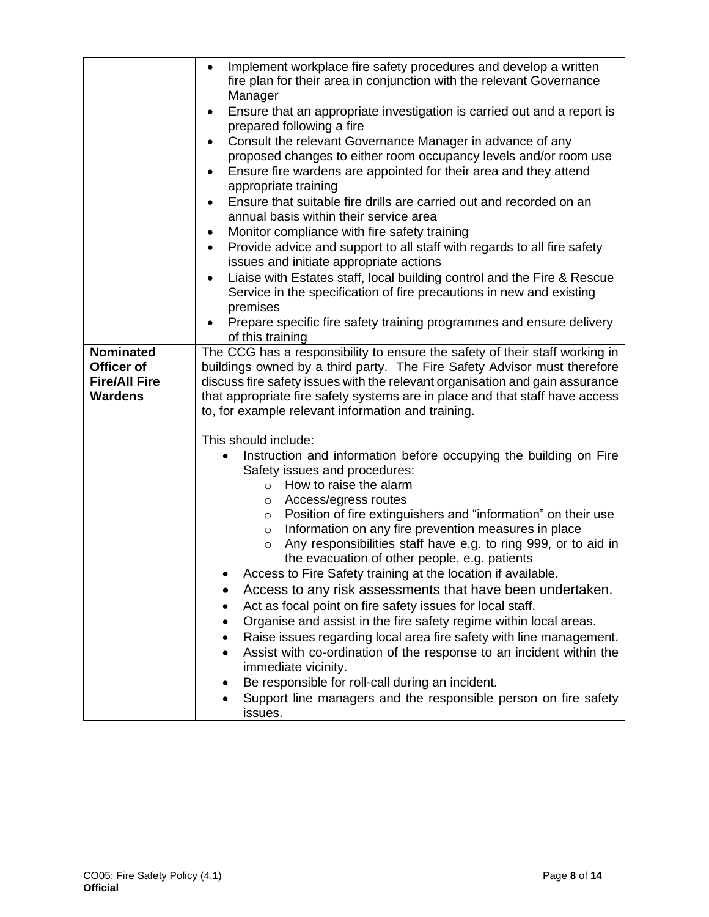|                                                                          | Implement workplace fire safety procedures and develop a written<br>$\bullet$<br>fire plan for their area in conjunction with the relevant Governance<br>Manager<br>Ensure that an appropriate investigation is carried out and a report is<br>prepared following a fire<br>Consult the relevant Governance Manager in advance of any<br>$\bullet$<br>proposed changes to either room occupancy levels and/or room use<br>Ensure fire wardens are appointed for their area and they attend<br>$\bullet$                                                                                                                                                                                                                                                                                                                                                                                                                                                                                                                                                           |  |
|--------------------------------------------------------------------------|-------------------------------------------------------------------------------------------------------------------------------------------------------------------------------------------------------------------------------------------------------------------------------------------------------------------------------------------------------------------------------------------------------------------------------------------------------------------------------------------------------------------------------------------------------------------------------------------------------------------------------------------------------------------------------------------------------------------------------------------------------------------------------------------------------------------------------------------------------------------------------------------------------------------------------------------------------------------------------------------------------------------------------------------------------------------|--|
|                                                                          | appropriate training<br>Ensure that suitable fire drills are carried out and recorded on an<br>annual basis within their service area<br>Monitor compliance with fire safety training<br>Provide advice and support to all staff with regards to all fire safety<br>issues and initiate appropriate actions<br>Liaise with Estates staff, local building control and the Fire & Rescue<br>Service in the specification of fire precautions in new and existing                                                                                                                                                                                                                                                                                                                                                                                                                                                                                                                                                                                                    |  |
|                                                                          | premises<br>Prepare specific fire safety training programmes and ensure delivery<br>of this training                                                                                                                                                                                                                                                                                                                                                                                                                                                                                                                                                                                                                                                                                                                                                                                                                                                                                                                                                              |  |
| <b>Nominated</b><br>Officer of<br><b>Fire/All Fire</b><br><b>Wardens</b> | The CCG has a responsibility to ensure the safety of their staff working in<br>buildings owned by a third party. The Fire Safety Advisor must therefore<br>discuss fire safety issues with the relevant organisation and gain assurance<br>that appropriate fire safety systems are in place and that staff have access<br>to, for example relevant information and training.                                                                                                                                                                                                                                                                                                                                                                                                                                                                                                                                                                                                                                                                                     |  |
|                                                                          | This should include:<br>Instruction and information before occupying the building on Fire<br>$\bullet$<br>Safety issues and procedures:<br>How to raise the alarm<br>$\circ$<br>Access/egress routes<br>$\circ$<br>Position of fire extinguishers and "information" on their use<br>$\circ$<br>Information on any fire prevention measures in place<br>$\circ$<br>Any responsibilities staff have e.g. to ring 999, or to aid in<br>$\circ$<br>the evacuation of other people, e.g. patients<br>Access to Fire Safety training at the location if available<br>Access to any risk assessments that have been undertaken.<br>Act as focal point on fire safety issues for local staff.<br>Organise and assist in the fire safety regime within local areas.<br>Raise issues regarding local area fire safety with line management.<br>Assist with co-ordination of the response to an incident within the<br>immediate vicinity.<br>Be responsible for roll-call during an incident.<br>Support line managers and the responsible person on fire safety<br>issues. |  |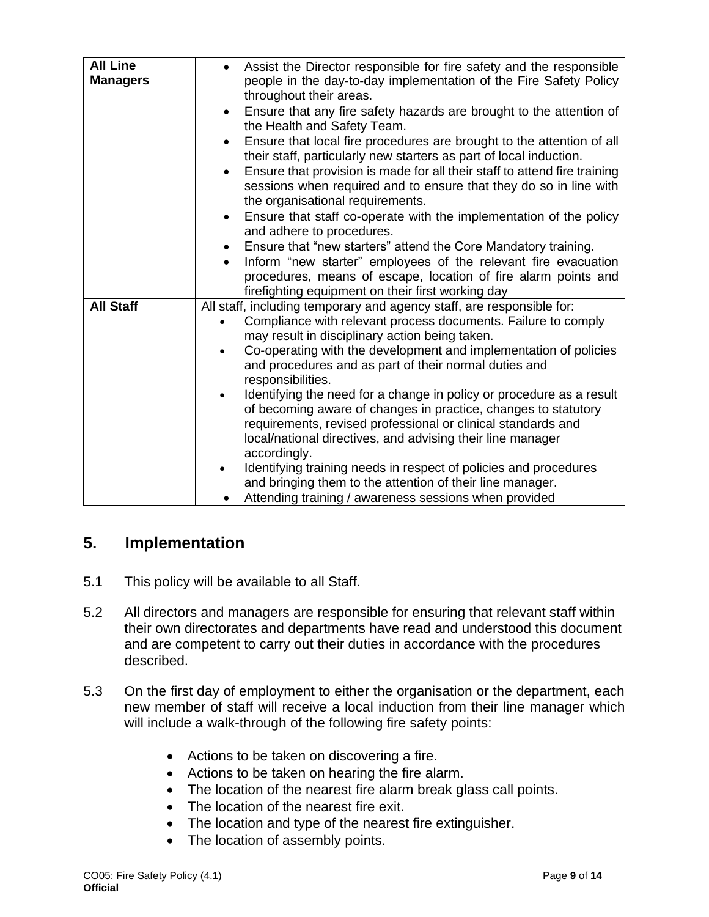| <b>All Line</b><br><b>Managers</b> | Assist the Director responsible for fire safety and the responsible<br>people in the day-to-day implementation of the Fire Safety Policy<br>throughout their areas.<br>Ensure that any fire safety hazards are brought to the attention of<br>$\bullet$<br>the Health and Safety Team.<br>Ensure that local fire procedures are brought to the attention of all<br>$\bullet$<br>their staff, particularly new starters as part of local induction.<br>Ensure that provision is made for all their staff to attend fire training<br>$\bullet$<br>sessions when required and to ensure that they do so in line with<br>the organisational requirements.<br>Ensure that staff co-operate with the implementation of the policy<br>$\bullet$<br>and adhere to procedures.<br>Ensure that "new starters" attend the Core Mandatory training.<br>$\bullet$<br>Inform "new starter" employees of the relevant fire evacuation<br>$\bullet$<br>procedures, means of escape, location of fire alarm points and<br>firefighting equipment on their first working day |
|------------------------------------|------------------------------------------------------------------------------------------------------------------------------------------------------------------------------------------------------------------------------------------------------------------------------------------------------------------------------------------------------------------------------------------------------------------------------------------------------------------------------------------------------------------------------------------------------------------------------------------------------------------------------------------------------------------------------------------------------------------------------------------------------------------------------------------------------------------------------------------------------------------------------------------------------------------------------------------------------------------------------------------------------------------------------------------------------------|
| <b>All Staff</b>                   | All staff, including temporary and agency staff, are responsible for:<br>Compliance with relevant process documents. Failure to comply<br>may result in disciplinary action being taken.<br>Co-operating with the development and implementation of policies<br>and procedures and as part of their normal duties and<br>responsibilities.<br>Identifying the need for a change in policy or procedure as a result<br>of becoming aware of changes in practice, changes to statutory<br>requirements, revised professional or clinical standards and<br>local/national directives, and advising their line manager<br>accordingly.<br>Identifying training needs in respect of policies and procedures<br>and bringing them to the attention of their line manager.<br>Attending training / awareness sessions when provided                                                                                                                                                                                                                               |

# **5. Implementation**

- <span id="page-8-0"></span>5.1 This policy will be available to all Staff.
- 5.2 All directors and managers are responsible for ensuring that relevant staff within their own directorates and departments have read and understood this document and are competent to carry out their duties in accordance with the procedures described.
- 5.3 On the first day of employment to either the organisation or the department, each new member of staff will receive a local induction from their line manager which will include a walk-through of the following fire safety points:
	- Actions to be taken on discovering a fire.
	- Actions to be taken on hearing the fire alarm.
	- The location of the nearest fire alarm break glass call points.
	- The location of the nearest fire exit.
	- The location and type of the nearest fire extinguisher.
	- The location of assembly points.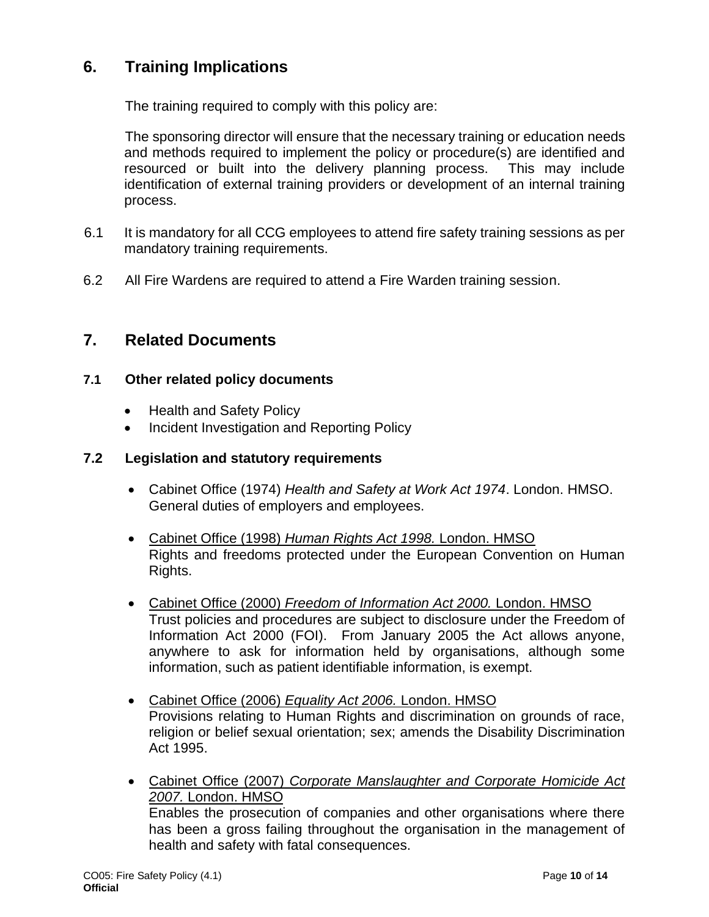# **6. Training Implications**

The training required to comply with this policy are:

<span id="page-9-0"></span>The sponsoring director will ensure that the necessary training or education needs and methods required to implement the policy or procedure(s) are identified and resourced or built into the delivery planning process. This may include identification of external training providers or development of an internal training process.

- 6.1 It is mandatory for all CCG employees to attend fire safety training sessions as per mandatory training requirements.
- 6.2 All Fire Wardens are required to attend a Fire Warden training session.

## **7. Related Documents**

### <span id="page-9-1"></span>**7.1 Other related policy documents**

- Health and Safety Policy
- Incident Investigation and Reporting Policy

### **7.2 Legislation and statutory requirements**

- Cabinet Office (1974) *Health and Safety at Work Act 1974*. London. HMSO. General duties of employers and employees.
- Cabinet Office (1998) *Human Rights Act 1998.* London. HMSO Rights and freedoms protected under the European Convention on Human Rights.
- Cabinet Office (2000) *Freedom of Information Act 2000.* London. HMSO Trust policies and procedures are subject to disclosure under the Freedom of Information Act 2000 (FOI). From January 2005 the Act allows anyone, anywhere to ask for information held by organisations, although some information, such as patient identifiable information, is exempt.
- Cabinet Office (2006) *Equality Act 2006.* London. HMSO Provisions relating to Human Rights and discrimination on grounds of race, religion or belief sexual orientation; sex; amends the Disability Discrimination Act 1995.
- Cabinet Office (2007) *Corporate Manslaughter and Corporate Homicide Act 2007.* London. HMSO Enables the prosecution of companies and other organisations where there has been a gross failing throughout the organisation in the management of health and safety with fatal consequences.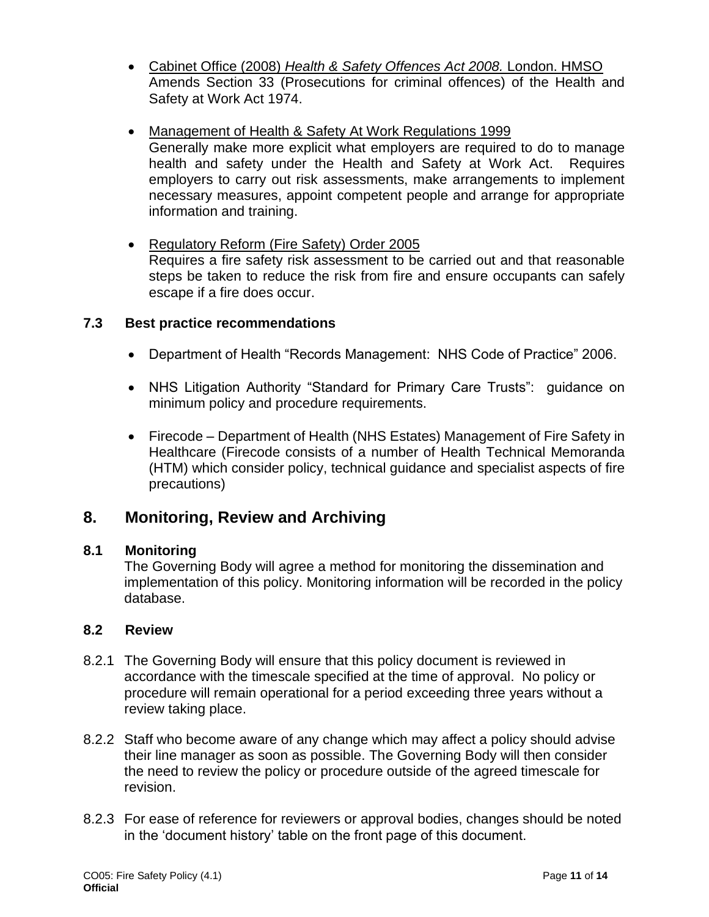- Cabinet Office (2008) *Health & Safety Offences Act 2008.* London. HMSO Amends Section 33 (Prosecutions for criminal offences) of the Health and Safety at Work Act 1974.
- Management of Health & Safety At Work Regulations 1999 Generally make more explicit what employers are required to do to manage health and safety under the Health and Safety at Work Act. Requires employers to carry out risk assessments, make arrangements to implement necessary measures, appoint competent people and arrange for appropriate information and training.
- Regulatory Reform (Fire Safety) Order 2005 Requires a fire safety risk assessment to be carried out and that reasonable steps be taken to reduce the risk from fire and ensure occupants can safely escape if a fire does occur.

## **7.3 Best practice recommendations**

- Department of Health "Records Management: NHS Code of Practice" 2006.
- NHS Litigation Authority "Standard for Primary Care Trusts": guidance on minimum policy and procedure requirements.
- Firecode Department of Health (NHS Estates) Management of Fire Safety in Healthcare (Firecode consists of a number of Health Technical Memoranda (HTM) which consider policy, technical guidance and specialist aspects of fire precautions)

## **8. Monitoring, Review and Archiving**

## <span id="page-10-0"></span>**8.1 Monitoring**

The Governing Body will agree a method for monitoring the dissemination and implementation of this policy. Monitoring information will be recorded in the policy database.

## **8.2 Review**

- 8.2.1 The Governing Body will ensure that this policy document is reviewed in accordance with the timescale specified at the time of approval. No policy or procedure will remain operational for a period exceeding three years without a review taking place.
- 8.2.2 Staff who become aware of any change which may affect a policy should advise their line manager as soon as possible. The Governing Body will then consider the need to review the policy or procedure outside of the agreed timescale for revision.
- 8.2.3 For ease of reference for reviewers or approval bodies, changes should be noted in the 'document history' table on the front page of this document.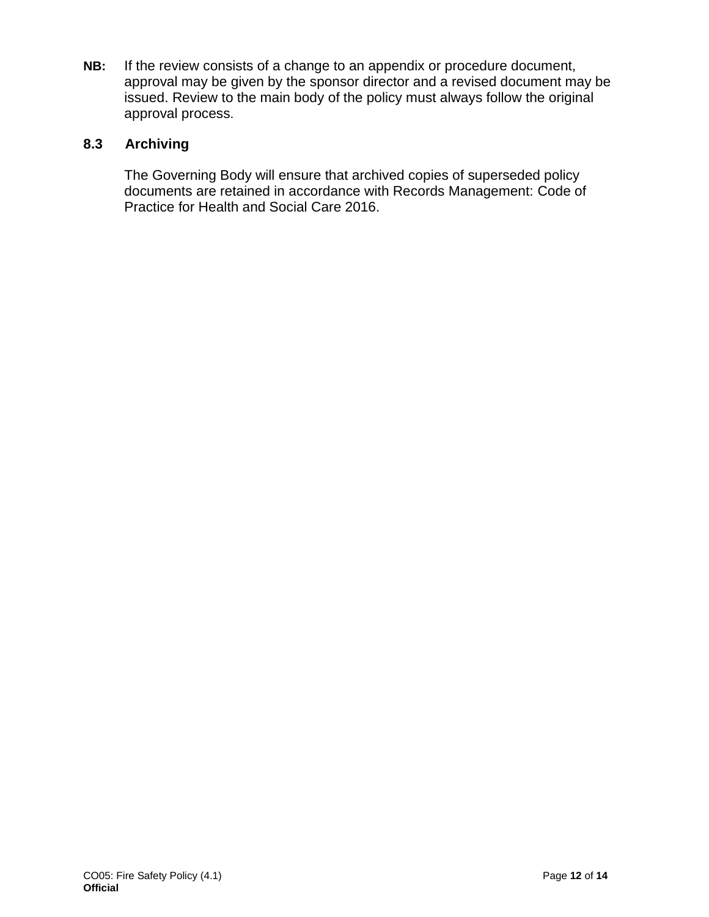**NB:** If the review consists of a change to an appendix or procedure document, approval may be given by the sponsor director and a revised document may be issued. Review to the main body of the policy must always follow the original approval process.

## **8.3 Archiving**

The Governing Body will ensure that archived copies of superseded policy documents are retained in accordance with Records Management: Code of Practice for Health and Social Care 2016.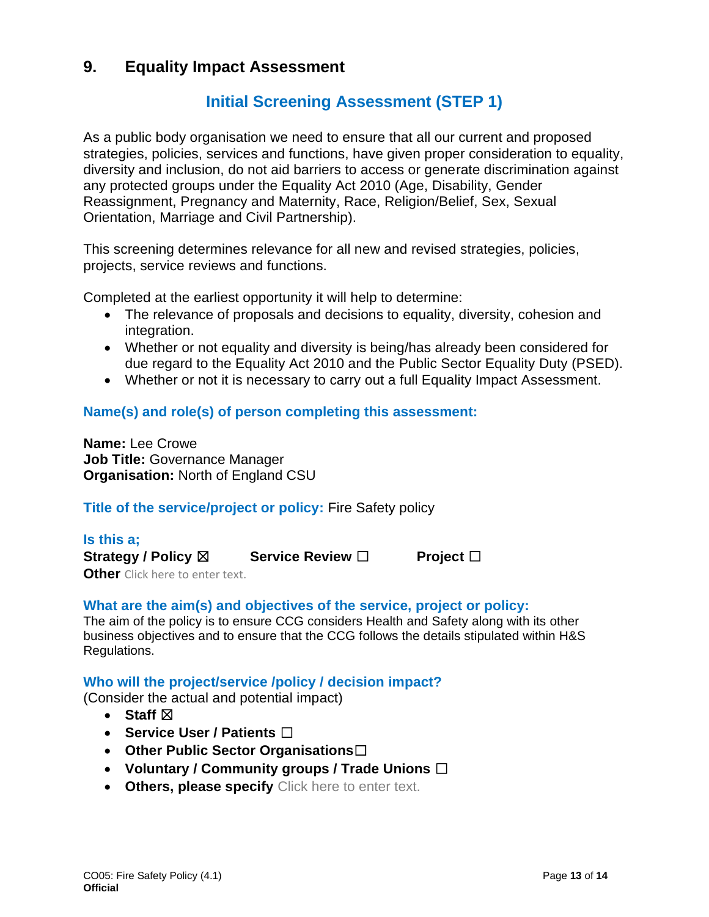## **9. Equality Impact Assessment**

# **Initial Screening Assessment (STEP 1)**

As a public body organisation we need to ensure that all our current and proposed strategies, policies, services and functions, have given proper consideration to equality, diversity and inclusion, do not aid barriers to access or generate discrimination against any protected groups under the Equality Act 2010 (Age, Disability, Gender Reassignment, Pregnancy and Maternity, Race, Religion/Belief, Sex, Sexual Orientation, Marriage and Civil Partnership).

This screening determines relevance for all new and revised strategies, policies, projects, service reviews and functions.

Completed at the earliest opportunity it will help to determine:

- The relevance of proposals and decisions to equality, diversity, cohesion and integration.
- Whether or not equality and diversity is being/has already been considered for due regard to the Equality Act 2010 and the Public Sector Equality Duty (PSED).
- Whether or not it is necessary to carry out a full Equality Impact Assessment.

## **Name(s) and role(s) of person completing this assessment:**

**Name:** Lee Crowe **Job Title:** Governance Manager **Organisation:** North of England CSU

## **Title of the service/project or policy:** Fire Safety policy

## **Is this a;**

**Strategy / Policy** ☒ **Service Review** ☐ **Project** ☐

**Other** Click here to enter text.

### **What are the aim(s) and objectives of the service, project or policy:**

The aim of the policy is to ensure CCG considers Health and Safety along with its other business objectives and to ensure that the CCG follows the details stipulated within H&S Regulations.

#### **Who will the project/service /policy / decision impact?**

(Consider the actual and potential impact)

- **Staff**  $\boxtimes$
- **Service User / Patients** ☐
- **Other Public Sector Organisations**☐
- **Voluntary / Community groups / Trade Unions** ☐
- **Others, please specify** Click here to enter text.